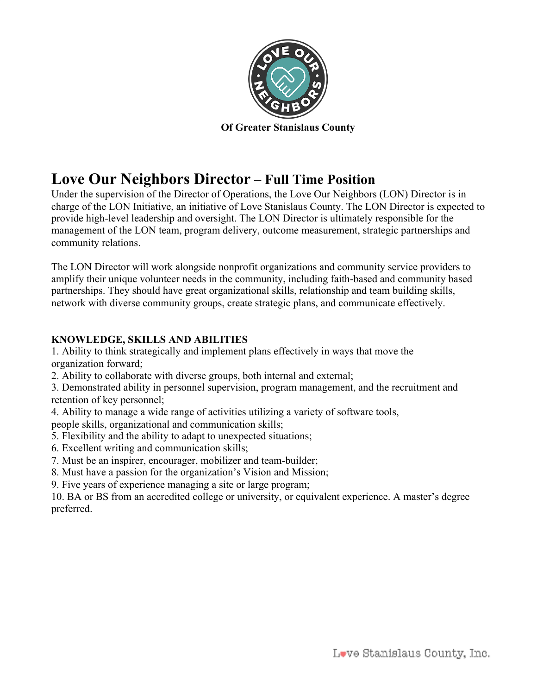

**Of Greater Stanislaus County**

# **Love Our Neighbors Director – Full Time Position**

Under the supervision of the Director of Operations, the Love Our Neighbors (LON) Director is in charge of the LON Initiative, an initiative of Love Stanislaus County. The LON Director is expected to provide high-level leadership and oversight. The LON Director is ultimately responsible for the management of the LON team, program delivery, outcome measurement, strategic partnerships and community relations.

The LON Director will work alongside nonprofit organizations and community service providers to amplify their unique volunteer needs in the community, including faith-based and community based partnerships. They should have great organizational skills, relationship and team building skills, network with diverse community groups, create strategic plans, and communicate effectively.

## **KNOWLEDGE, SKILLS AND ABILITIES**

1. Ability to think strategically and implement plans effectively in ways that move the organization forward;

2. Ability to collaborate with diverse groups, both internal and external;

3. Demonstrated ability in personnel supervision, program management, and the recruitment and retention of key personnel;

4. Ability to manage a wide range of activities utilizing a variety of software tools,

people skills, organizational and communication skills;

- 5. Flexibility and the ability to adapt to unexpected situations;
- 6. Excellent writing and communication skills;
- 7. Must be an inspirer, encourager, mobilizer and team-builder;
- 8. Must have a passion for the organization's Vision and Mission;
- 9. Five years of experience managing a site or large program;

10. BA or BS from an accredited college or university, or equivalent experience. A master's degree preferred.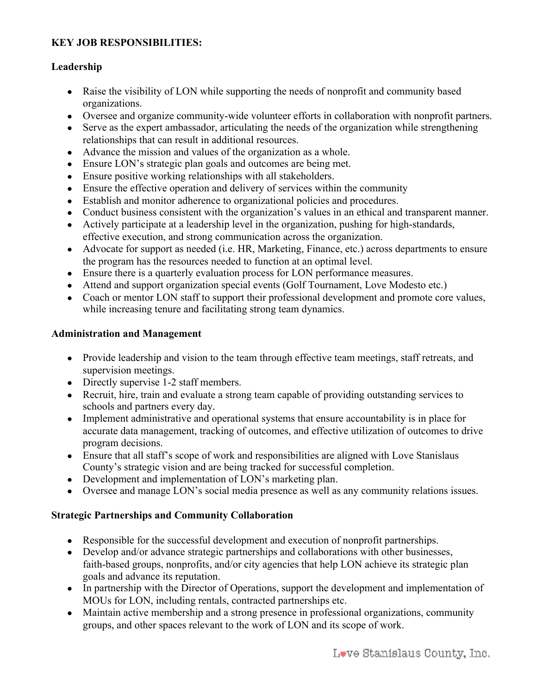## **KEY JOB RESPONSIBILITIES:**

## **Leadership**

- Raise the visibility of LON while supporting the needs of nonprofit and community based organizations.
- Oversee and organize community-wide volunteer efforts in collaboration with nonprofit partners.
- Serve as the expert ambassador, articulating the needs of the organization while strengthening relationships that can result in additional resources.
- Advance the mission and values of the organization as a whole.
- Ensure LON's strategic plan goals and outcomes are being met.
- Ensure positive working relationships with all stakeholders.
- Ensure the effective operation and delivery of services within the community
- Establish and monitor adherence to organizational policies and procedures.
- Conduct business consistent with the organization's values in an ethical and transparent manner.
- Actively participate at a leadership level in the organization, pushing for high-standards,
- effective execution, and strong communication across the organization. • Advocate for support as needed (i.e. HR, Marketing, Finance, etc.) across departments to ensure
- the program has the resources needed to function at an optimal level.
- Ensure there is a quarterly evaluation process for LON performance measures.
- Attend and support organization special events (Golf Tournament, Love Modesto etc.)
- Coach or mentor LON staff to support their professional development and promote core values, while increasing tenure and facilitating strong team dynamics.

## **Administration and Management**

- Provide leadership and vision to the team through effective team meetings, staff retreats, and supervision meetings.
- Directly supervise 1-2 staff members.
- Recruit, hire, train and evaluate a strong team capable of providing outstanding services to schools and partners every day.
- Implement administrative and operational systems that ensure accountability is in place for accurate data management, tracking of outcomes, and effective utilization of outcomes to drive program decisions.
- Ensure that all staff's scope of work and responsibilities are aligned with Love Stanislaus County's strategic vision and are being tracked for successful completion.
- Development and implementation of LON's marketing plan.
- Oversee and manage LON's social media presence as well as any community relations issues.

## **Strategic Partnerships and Community Collaboration**

- Responsible for the successful development and execution of nonprofit partnerships.
- Develop and/or advance strategic partnerships and collaborations with other businesses, faith-based groups, nonprofits, and/or city agencies that help LON achieve its strategic plan goals and advance its reputation.
- In partnership with the Director of Operations, support the development and implementation of MOUs for LON, including rentals, contracted partnerships etc.
- Maintain active membership and a strong presence in professional organizations, community groups, and other spaces relevant to the work of LON and its scope of work.